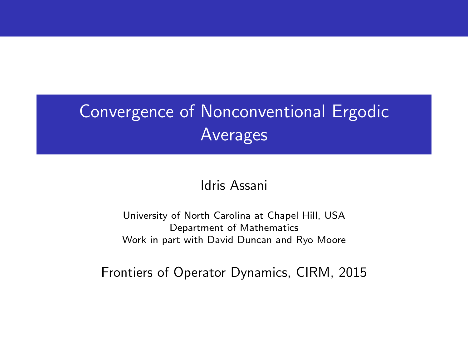# Convergence of Nonconventional Ergodic Averages

#### Idris Assani

University of North Carolina at Chapel Hill, USA Department of Mathematics Work in part with David Duncan and Ryo Moore

Frontiers of Operator Dynamics, CIRM, 2015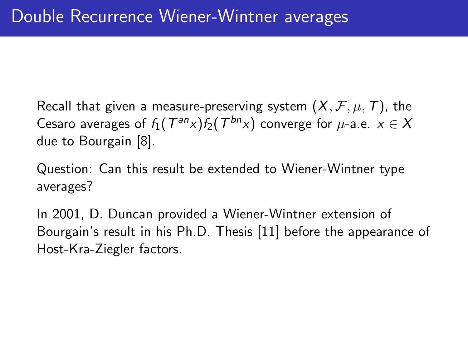Recall that given a measure-preserving system  $(X, \mathcal{F}, \mu, \mathcal{T})$ , the Cesaro averages of  $f_1({T^{an}}x)f_2({T^{bn}}x)$  converge for  $\mu$ -a.e.  $x\in X$ due to Bourgain [\[8\]](#page-24-0).

Question: Can this result be extended to Wiener-Wintner type averages?

In 2001, D. Duncan provided a Wiener-Wintner extension of Bourgain's result in his Ph.D. Thesis [\[11\]](#page-25-0) before the appearance of Host-Kra-Ziegler factors.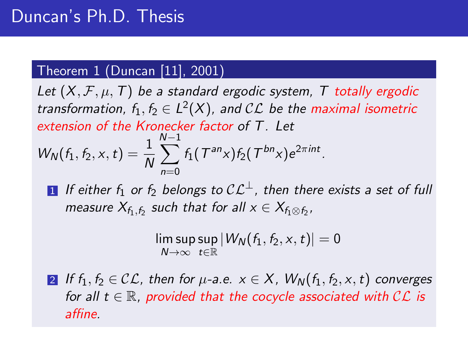## Theorem 1 (Duncan [\[11\]](#page-25-0), 2001)

Let  $(X, \mathcal{F}, \mu, T)$  be a standard ergodic system, T totally ergodic transformation,  $f_1, f_2 \in L^2(X)$ , and  $\mathcal{CL}$  be the maximal isometric extension of the Kronecker factor of T. Let  $W_N(f_1, f_2, x, t) = \frac{1}{N}$  $\sum_{n=1}^{N-1} f_1({\mathcal T}^{\mathsf{an}} {\mathsf{x}}) f_2({\mathcal T}^{\mathsf{bn}} {\mathsf{x}}) e^{2\pi \mathsf{i} n t}.$  $n=0$ 

**1** If either  $f_1$  or  $f_2$  belongs to  $CL^{\perp}$ , then there exists a set of full measure  $X_{f_1,f_2}$  such that for all  $x\in X_{f_1\otimes f_2}$ ,

> $\left|\mathsf{lim\,sup\,sup}\,\left|\mathcal{W}_{\mathcal{N}}(f_1,f_2,x,t)\right|\right.=0$  $N \rightarrow \infty$   $t \in \mathbb{R}$

2 If  $f_1, f_2 \in \mathcal{CL}$ , then for  $\mu$ -a.e.  $x \in X$ ,  $W_N(f_1, f_2, x, t)$  converges for all  $t \in \mathbb{R}$ , provided that the cocycle associated with  $\mathcal{CL}$  is affine.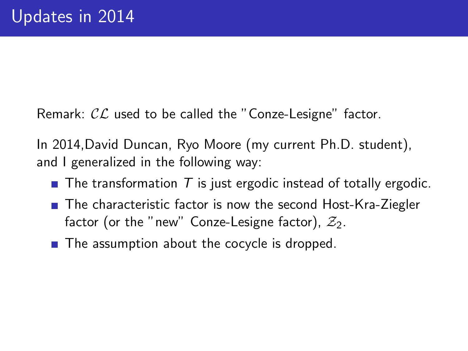Remark:  $\mathcal{CL}$  used to be called the "Conze-Lesigne" factor.

In 2014,David Duncan, Ryo Moore (my current Ph.D. student), and I generalized in the following way:

- $\blacksquare$  The transformation T is just ergodic instead of totally ergodic.
- The characteristic factor is now the second Host-Kra-Ziegler factor (or the "new" Conze-Lesigne factor),  $\mathcal{Z}_2$ .
- $\blacksquare$  The assumption about the cocycle is dropped.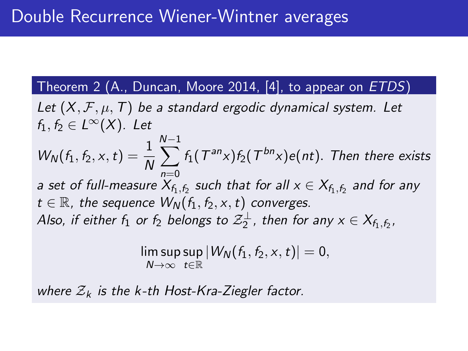### Theorem 2 (A., Duncan, Moore 2014, [\[4\]](#page-23-0), to appear on ETDS)

<span id="page-4-0"></span>Let  $(X, \mathcal{F}, \mu, \mathcal{T})$  be a standard ergodic dynamical system. Let  $f_1, f_2 \in L^{\infty}(X)$ . Let  $W_N(f_1, f_2, x, t) = \frac{1}{N}$ N X−1  $n=0$  $f_1(T^{an}x)f_2(T^{bn}x)e(nt)$ . Then there exists a set of full-measure  $X_{f_1,f_2}$  such that for all  $\mathrm{x} \in X_{f_1,f_2}$  and for any  $t \in \mathbb{R}$ , the sequence  $W_N(f_1, f_2, x, t)$  converges. Also, if either  $f_1$  or  $f_2$  belongs to  $\mathcal{Z}_2^{\perp}$ , then for any  $\mathsf{x} \in \mathsf{X}_{f_1,f_2}.$ 

$$
\limsup_{N\to\infty}\sup_{t\in\mathbb{R}}|W_N(f_1,f_2,x,t)|=0,
$$

where  $\mathcal{Z}_k$  is the k-th Host-Kra-Ziegler factor.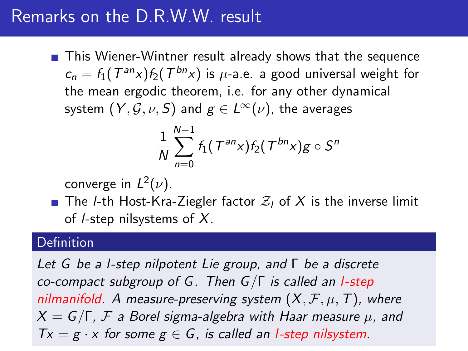# Remarks on the D.R.W.W. result

■ This Wiener-Wintner result already shows that the sequence  $c_n = f_1(T^{an}x) f_2(T^{bn}x)$  is  $\mu$ -a.e. a good universal weight for the mean ergodic theorem, i.e. for any other dynamical system  $(Y, \mathcal{G}, \nu, S)$  and  $g \in L^{\infty}(\nu)$ , the averages

$$
\frac{1}{N}\sum_{n=0}^{N-1}f_1(\mathcal{T}^{an}x)f_2(\mathcal{T}^{bn}x)g\circ\mathcal{S}^n
$$

converge in  $L^2(\nu)$ .

**The** *l***-th Host-Kra-Ziegler factor**  $Z_i$  **of X is the inverse limit** of *l*-step nilsystems of  $X$ .

#### Definition

Let G be a l-step nilpotent Lie group, and Γ be a discrete co-compact subgroup of G. Then  $G/\Gamma$  is called an *l*-step nilmanifold. A measure-preserving system  $(X, \mathcal{F}, \mu, T)$ , where  $X = G/\Gamma$ , F a Borel sigma-algebra with Haar measure  $\mu$ , and  $Tx = g \cdot x$  for some  $g \in G$ , is called an *l*-step nilsystem.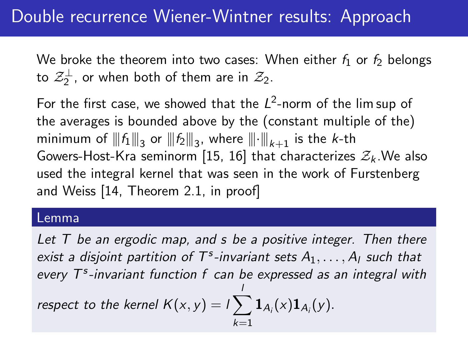# Double recurrence Wiener-Wintner results: Approach

We broke the theorem into two cases: When either  $f_1$  or  $f_2$  belongs to  $\mathcal{Z}_2^{\perp}$ , or when both of them are in  $\mathcal{Z}_2$ .

For the first case, we showed that the  $L^2$ -norm of the lim sup of the averages is bounded above by the (constant multiple of the) minimum of  $|\!|\!|f_1|\!|\!|_3$  or  $|\!|\!|f_2|\!|\!|_3$ , where  $|\!|\!| \cdot |\!|\!|_{k+1}$  is the  $k\text{-th}$ Gowers-Host-Kra seminorm [\[15,](#page-26-0) [16\]](#page-26-1) that characterizes  $\mathcal{Z}_k$ . We also used the integral kernel that was seen in the work of Furstenberg and Weiss [\[14,](#page-26-2) Theorem 2.1, in proof]

#### Lemma

Let  $T$  be an ergodic map, and  $s$  be a positive integer. Then there exist a disjoint partition of  $T^s$ -invariant sets  $A_1, \ldots, A_l$  such that every  $T<sup>s</sup>$ -invariant function f can be expressed as an integral with respect to the kernel  $K(x, y) = i \sum$ l  $k=1$  ${\bf 1}_{A_i}(x) {\bf 1}_{A_i}(y).$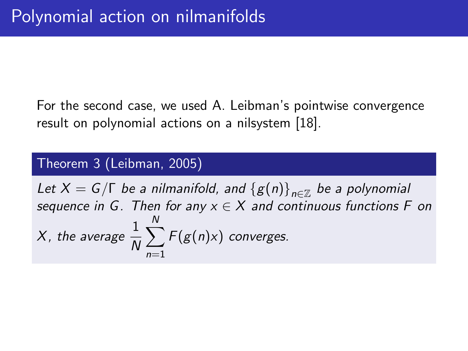For the second case, we used A. Leibman's pointwise convergence result on polynomial actions on a nilsystem [\[18\]](#page-27-0).

#### Theorem 3 (Leibman, 2005)

Let  $X=G/\Gamma$  be a nilmanifold, and  $\left\{ \text{}{g}(n)\right\} _{n\in\mathbb{Z}}$  be a polynomial sequence in G. Then for any  $x \in X$  and continuous functions F on X, the average  $\frac{1}{N}$  $\sum$ N  $n=1$  $F(g(n)x)$  converges.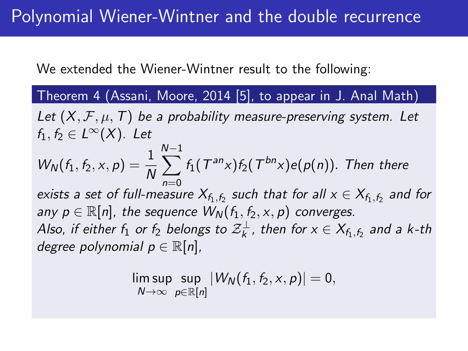We extended the Wiener-Wintner result to the following:

Theorem 4 (Assani, Moore, 2014 [\[5\]](#page-23-1), to appear in J. Anal Math) Let  $(X, \mathcal{F}, \mu, \mathcal{T})$  be a probability measure-preserving system. Let  $f_1, f_2 \in L^{\infty}(X)$ . Let  $W_N(f_1, f_2, x, p) = \frac{1}{N}$  $\sum^{N-1}$  $n=0$  $f_1(T^{an}x)f_2(T^{bn}x)e(p(n))$ . Then there exists a set of full-measure  $X_{f_1,f_2}$  such that for all  $x\in X_{f_1,f_2}$  and for any  $p \in \mathbb{R}[n]$ , the sequence  $W_N(f_1, f_2, x, p)$  converges. Also, if either  $f_1$  or  $f_2$  belongs to  ${\mathcal Z}^\perp_k$ , then for  ${\mathsf x}\in \mathsf{X}_{f_1,f_2}$  and a k-th degree polynomial  $p \in \mathbb{R}[n]$ ,

$$
\limsup_{N\to\infty}\sup_{p\in\mathbb{R}[n]}|W_N(f_1,f_2,x,p)|=0,
$$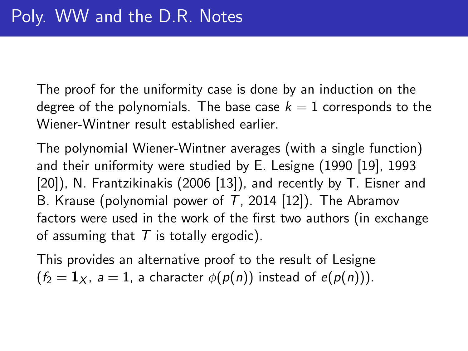The proof for the uniformity case is done by an induction on the degree of the polynomials. The base case  $k = 1$  corresponds to the Wiener-Wintner result established earlier.

The polynomial Wiener-Wintner averages (with a single function) and their uniformity were studied by E. Lesigne (1990 [\[19\]](#page-27-1), 1993 [\[20\]](#page-27-2)), N. Frantzikinakis (2006 [\[13\]](#page-25-1)), and recently by T. Eisner and B. Krause (polynomial power of  $T$ , 2014 [\[12\]](#page-25-2)). The Abramov factors were used in the work of the first two authors (in exchange of assuming that  $T$  is totally ergodic).

This provides an alternative proof to the result of Lesigne  $(f_2 = 1_X, a = 1, a$  character  $\phi(p(n))$  instead of  $e(p(n))$ .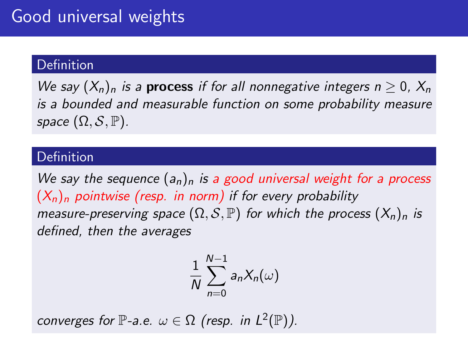#### **Definition**

We say  $(X_n)_n$  is a **process** if for all nonnegative integers  $n > 0$ ,  $X_n$ is a bounded and measurable function on some probability measure space  $(\Omega, \mathcal{S}, \mathbb{P})$ .

#### **Definition**

We say the sequence  $(a_n)_n$  is a good universal weight for a process  $(X_n)_n$  pointwise (resp. in norm) if for every probability measure-preserving space  $(\Omega, \mathcal{S}, \mathbb{P})$  for which the process  $(X_n)_n$  is defined, then the averages

$$
\frac{1}{N}\sum_{n=0}^{N-1}a_nX_n(\omega)
$$

converges for  $\mathbb{P}\text{-a.e. } \omega \in \Omega$  (resp. in  $L^2(\mathbb{P})$ ).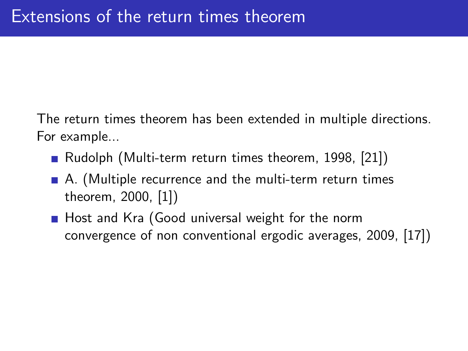The return times theorem has been extended in multiple directions. For example...

- Rudolph (Multi-term return times theorem, 1998, [\[21\]](#page-28-0))
- A. (Multiple recurrence and the multi-term return times theorem, 2000, [\[1\]](#page-22-0))
- Host and Kra (Good universal weight for the norm convergence of non conventional ergodic averages, 2009, [\[17\]](#page-26-3))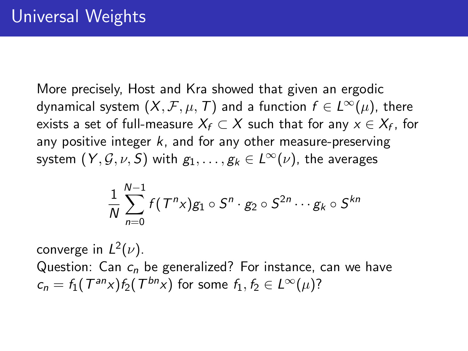More precisely, Host and Kra showed that given an ergodic dynamical system  $(X, \mathcal{F}, \mu, T)$  and a function  $f \in L^{\infty}(\mu)$ , there exists a set of full-measure  $X_f\subset X$  such that for any  $x\in X_f$ , for any positive integer  $k$ , and for any other measure-preserving system  $(Y, \mathcal{G}, \nu, S)$  with  $g_1, \ldots, g_k \in L^{\infty}(\nu)$ , the averages

$$
\frac{1}{N}\sum_{n=0}^{N-1}f(T^nx)g_1\circ S^n\cdot g_2\circ S^{2n}\cdots g_k\circ S^{kn}
$$

converge in  $L^2(\nu)$ . Question: Can  $c_n$  be generalized? For instance, can we have  $c_n = f_1(T^{an}x) f_2(T^{bn}x)$  for some  $f_1, f_2 \in L^{\infty}(\mu)$ ?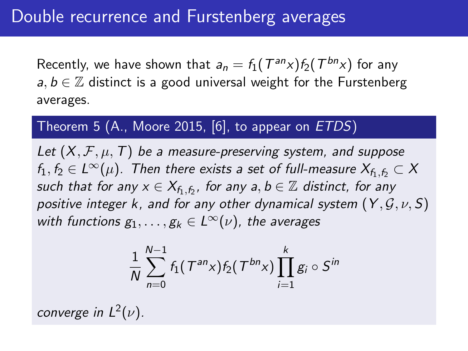Recently, we have shown that  $a_n = f_1(T^{an}x) f_2(T^{bn}x)$  for any  $a, b \in \mathbb{Z}$  distinct is a good universal weight for the Furstenberg averages.

### Theorem 5 (A., Moore 2015, [\[6\]](#page-23-2), to appear on ETDS)

<span id="page-13-0"></span>Let  $(X, \mathcal{F}, \mu, T)$  be a measure-preserving system, and suppose  $f_1, f_2 \in L^{\infty}(\mu)$ . Then there exists a set of full-measure  $X_{f_1,f_2} \subset X$ such that for any  $x \in X_{f_1,f_2}$ , for any  $a,b \in \mathbb{Z}$  distinct, for any positive integer k, and for any other dynamical system  $(Y, \mathcal{G}, \nu, S)$ with functions  $g_1, \ldots, g_k \in L^{\infty}(\nu)$ , the averages

$$
\frac{1}{N}\sum_{n=0}^{N-1} f_1(\mathcal{T}^{an}x) f_2(\mathcal{T}^{bn}x) \prod_{i=1}^{k} g_i \circ S^{in}
$$

converge in  $L^2(\nu)$ .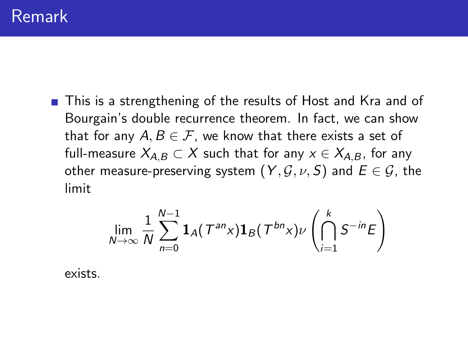■ This is a strengthening of the results of Host and Kra and of Bourgain's double recurrence theorem. In fact, we can show that for any  $A, B \in \mathcal{F}$ , we know that there exists a set of full-measure  $X_{A,B} \subset X$  such that for any  $x \in X_{A,B}$ , for any other measure-preserving system  $(Y, \mathcal{G}, \nu, S)$  and  $E \in \mathcal{G}$ , the limit

$$
\lim_{N\to\infty}\frac{1}{N}\sum_{n=0}^{N-1}\mathbf{1}_A\big(\mathcal{T}^{an}x\big)\mathbf{1}_B\big(\mathcal{T}^{bn}x\big)\nu\left(\bigcap_{i=1}^kS^{-in}E\right)
$$

exists.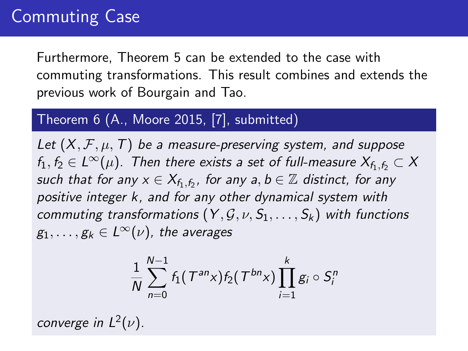# Commuting Case

Furthermore, Theorem [5](#page-13-0) can be extended to the case with commuting transformations. This result combines and extends the previous work of Bourgain and Tao.

### Theorem  $6$  (A., Moore 2015, [\[7\]](#page-24-1), submitted)

Let  $(X, \mathcal{F}, \mu, T)$  be a measure-preserving system, and suppose  $f_1, f_2 \in L^{\infty}(\mu)$ . Then there exists a set of full-measure  $X_{f_1,f_2} \subset X$ such that for any  $x \in X_{f_1,f_2}$ , for any  $a,b \in \mathbb{Z}$  distinct, for any positive integer k, and for any other dynamical system with commuting transformations  $(Y, \mathcal{G}, \nu, S_1, \ldots, S_k)$  with functions  $g_1, \ldots, g_k \in L^{\infty}(\nu)$ , the averages

$$
\frac{1}{N}\sum_{n=0}^{N-1}f_1(\mathcal{T}^{an}\times f_2(\mathcal{T}^{bn}\times \prod_{i=1}^{k}g_i\circ S_i^n
$$

converge in  $L^2(\nu)$ .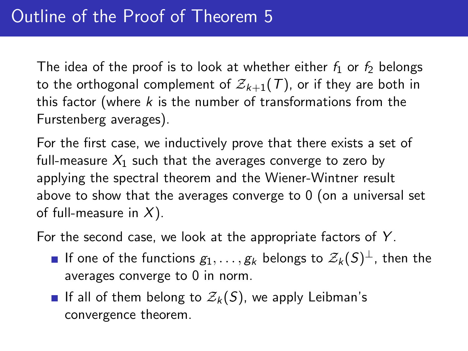The idea of the proof is to look at whether either  $f_1$  or  $f_2$  belongs to the orthogonal complement of  $\mathcal{Z}_{k+1}(\mathcal{T})$ , or if they are both in this factor (where  $k$  is the number of transformations from the Furstenberg averages).

For the first case, we inductively prove that there exists a set of full-measure  $X_1$  such that the averages converge to zero by applying the spectral theorem and the Wiener-Wintner result above to show that the averages converge to 0 (on a universal set of full-measure in  $X$ ).

For the second case, we look at the appropriate factors of  $Y$ .

- If one of the functions  $g_1,\ldots,g_k$  belongs to  $\mathcal{Z}_k(S)^{\perp}$ , then the averages converge to 0 in norm.
- If all of them belong to  $\mathcal{Z}_k(S)$ , we apply Leibman's convergence theorem.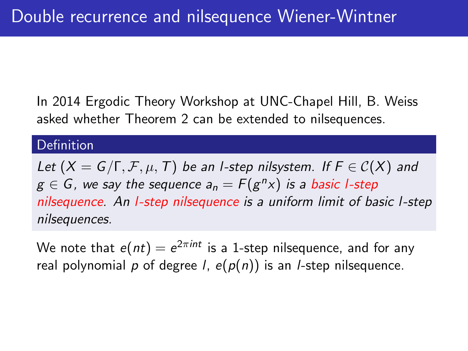In 2014 Ergodic Theory Workshop at UNC-Chapel Hill, B. Weiss asked whether Theorem [2](#page-4-0) can be extended to nilsequences.

#### Definition

Let  $(X = G/\Gamma, \mathcal{F}, \mu, T)$  be an l-step nilsystem. If  $F \in C(X)$  and  $g\in\mathsf{G}$  , we say the sequence  $\mathsf{a}_\mathsf{n}=\mathsf{F}(\mathsf{g}^{\mathsf{n}}\mathsf{x})$  is a basic l-step nilsequence. An *l*-step nilsequence is a uniform limit of basic *l*-step nilsequences.

We note that  $e(nt)=e^{2\pi int}$  is a 1-step nilsequence, and for any real polynomial p of degree I,  $e(p(n))$  is an I-step nilsequence.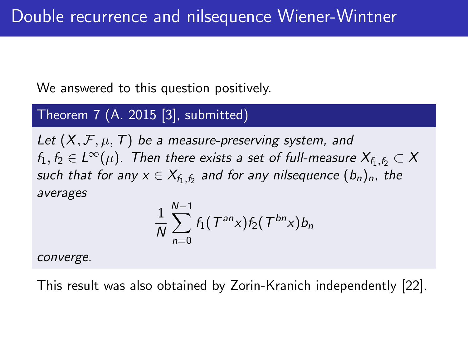We answered to this question positively.

## Theorem 7 (A. 2015 [\[3\]](#page-22-1), submitted)

Let  $(X, \mathcal{F}, \mu, T)$  be a measure-preserving system, and  $f_1, f_2 \in L^{\infty}(\mu)$ . Then there exists a set of full-measure  $X_{f_1,f_2} \subset X$ such that for any  $\mathsf{x} \in \mathsf{X}_{\mathsf{f}_1,\mathsf{f}_2}$  and for any nilsequence  $(b_n)_n$ , the averages

$$
\frac{1}{N}\sum_{n=0}^{N-1}f_1(\mathcal{T}^{an}x)f_2(\mathcal{T}^{bn}x)b_n
$$

converge.

This result was also obtained by Zorin-Kranich independently [\[22\]](#page-28-1).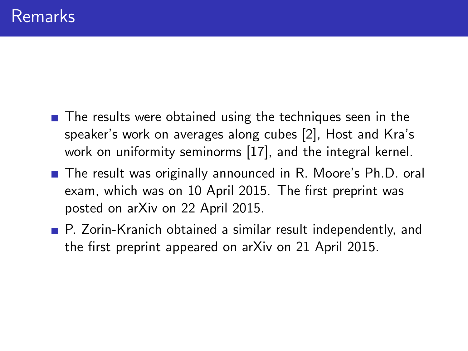- The results were obtained using the techniques seen in the speaker's work on averages along cubes [\[2\]](#page-22-2), Host and Kra's work on uniformity seminorms [\[17\]](#page-26-3), and the integral kernel.
- The result was originally announced in R. Moore's Ph.D. oral exam, which was on 10 April 2015. The first preprint was posted on arXiv on 22 April 2015.
- P. Zorin-Kranich obtained a similar result independently, and the first preprint appeared on arXiv on 21 April 2015.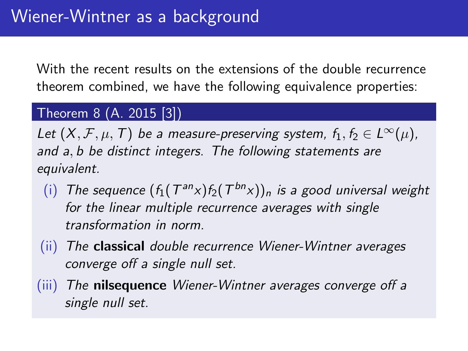With the recent results on the extensions of the double recurrence theorem combined, we have the following equivalence properties:

### Theorem 8 (A. 2015 [\[3\]](#page-22-1))

Let  $(X, \mathcal{F}, \mu, \mathcal{T})$  be a measure-preserving system,  $f_1, f_2 \in L^{\infty}(\mu)$ , and a, b be distinct integers. The following statements are equivalent.

- (i) The sequence  $(f_1(T^{an}x)f_2(T^{bn}x))_n$  is a good universal weight for the linear multiple recurrence averages with single transformation in norm.
- (ii) The classical double recurrence Wiener-Wintner averages converge off a single null set.
- (iii) The nilsequence Wiener-Wintner averages converge off a single null set.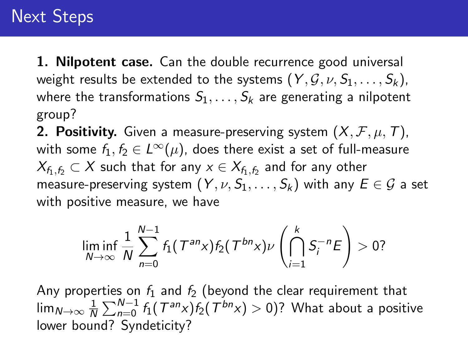# Next Steps

**1. Nilpotent case.** Can the double recurrence good universal weight results be extended to the systems  $(Y, \mathcal{G}, \nu, S_1, \ldots, S_k)$ , where the transformations  $S_1, \ldots, S_k$  are generating a nilpotent group?

**2. Positivity.** Given a measure-preserving system  $(X, \mathcal{F}, \mu, \mathcal{T})$ , with some  $f_1, f_2 \in L^{\infty}(\mu)$ , does there exist a set of full-measure  $\mathcal{X}_{f_1,f_2}\subset\mathcal{X}$  such that for any  $x\in\mathcal{X}_{f_1,f_2}$  and for any other measure-preserving system  $(Y, \nu, S_1, \ldots, S_k)$  with any  $E \in \mathcal{G}$  a set with positive measure, we have

$$
\liminf_{N\to\infty}\frac{1}{N}\sum_{n=0}^{N-1}f_1(\mathcal{T}^{an}x)f_2(\mathcal{T}^{bn}x)\nu\left(\bigcap_{i=1}^k S_i^{-n}E\right)>0?
$$

Any properties on  $f_1$  and  $f_2$  (beyond the clear requirement that lim $_{N\to\infty}$   $\frac{1}{N}$  $\frac{1}{N}\sum_{n=0}^{N-1}f_{1}(\mathit{T}^{\mathit{an}}x)f_{2}(\mathit{T}^{\mathit{bn}}x)>0)?$  What about a positive lower bound? Syndeticity?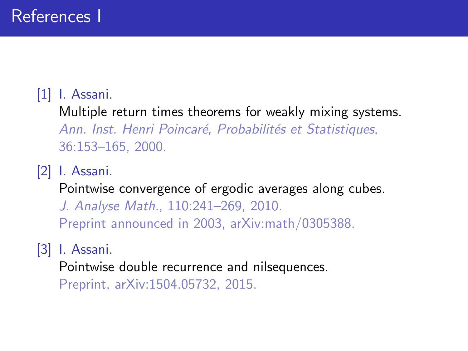## <span id="page-22-0"></span>[1] I. Assani.

Multiple return times theorems for weakly mixing systems. Ann. Inst. Henri Poincaré, Probabilités et Statistiques, 36:153–165, 2000.

<span id="page-22-2"></span>[2] I. Assani.

Pointwise convergence of ergodic averages along cubes.

J. Analyse Math., 110:241–269, 2010. Preprint announced in 2003, arXiv:math/0305388.

## <span id="page-22-1"></span>[3] I. Assani.

Pointwise double recurrence and nilsequences.

Preprint, arXiv:1504.05732, 2015.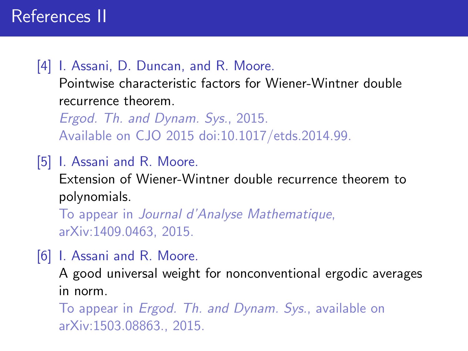## <span id="page-23-0"></span>[4] I. Assani, D. Duncan, and R. Moore.

Pointwise characteristic factors for Wiener-Wintner double recurrence theorem.

Ergod. Th. and Dynam. Sys., 2015. Available on CJO 2015 doi:10.1017/etds.2014.99.

### <span id="page-23-1"></span>[5] I. Assani and R. Moore.

Extension of Wiener-Wintner double recurrence theorem to polynomials.

To appear in Journal d'Analyse Mathematique, arXiv:1409.0463, 2015.

<span id="page-23-2"></span>[6] I. Assani and R. Moore.

A good universal weight for nonconventional ergodic averages in norm.

To appear in Ergod. Th. and Dynam. Sys., available on arXiv:1503.08863., 2015.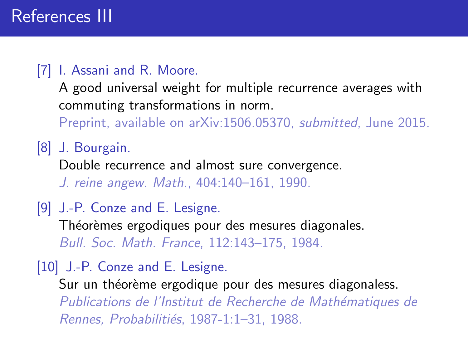## <span id="page-24-1"></span>[7] I. Assani and R. Moore.

A good universal weight for multiple recurrence averages with commuting transformations in norm.

Preprint, available on arXiv:1506.05370, submitted, June 2015.

<span id="page-24-0"></span>[8] J. Bourgain.

Double recurrence and almost sure convergence.

J. reine angew. Math., 404:140–161, 1990.

[9] J.-P. Conze and E. Lesigne.

Théorèmes ergodiques pour des mesures diagonales. Bull. Soc. Math. France, 112:143–175, 1984.

[10] J.-P. Conze and E. Lesigne.

Sur un théorème ergodique pour des mesures diagonaless. Publications de l'Institut de Recherche de Mathématiques de Rennes, Probabilitiés, 1987-1:1–31, 1988.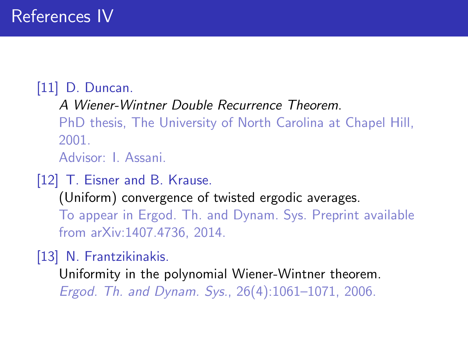# <span id="page-25-0"></span>[11] D. Duncan.

A Wiener-Wintner Double Recurrence Theorem.

PhD thesis, The University of North Carolina at Chapel Hill, 2001.

Advisor: I. Assani.

## <span id="page-25-2"></span>[12] T. Eisner and B. Krause.

(Uniform) convergence of twisted ergodic averages. To appear in Ergod. Th. and Dynam. Sys. Preprint available from arXiv:1407.4736, 2014.

<span id="page-25-1"></span>[13] N. Frantzikinakis.

Uniformity in the polynomial Wiener-Wintner theorem. Ergod. Th. and Dynam. Sys., 26(4):1061–1071, 2006.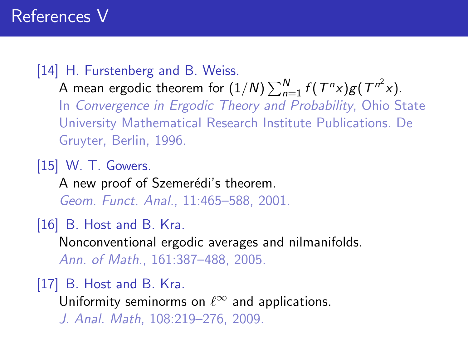## <span id="page-26-2"></span>[14] H. Furstenberg and B. Weiss.

A mean ergodic theorem for  $(1/N)\sum_{n=1}^{N}f(T^{n}x)g(T^{n^{2}}x)$ . In Convergence in Ergodic Theory and Probability, Ohio State University Mathematical Research Institute Publications. De Gruyter, Berlin, 1996.

<span id="page-26-0"></span>[15] W. T. Gowers.

A new proof of Szemerédi's theorem. Geom. Funct. Anal., 11:465–588, 2001.

<span id="page-26-1"></span>[16] B. Host and B. Kra.

Nonconventional ergodic averages and nilmanifolds. Ann. of Math., 161:387–488, 2005.

<span id="page-26-3"></span>[17] B. Host and B. Kra.

Uniformity seminorms on  $\ell^{\infty}$  and applications. J. Anal. Math, 108:219–276, 2009.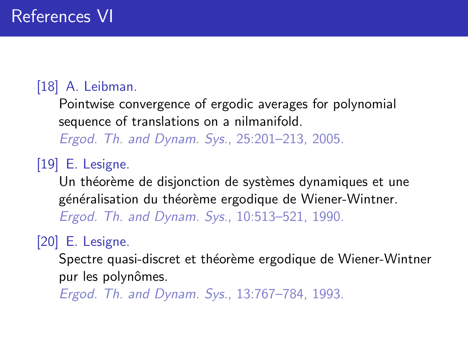# <span id="page-27-0"></span>[18] A. Leibman.

Pointwise convergence of ergodic averages for polynomial sequence of translations on a nilmanifold.

Ergod. Th. and Dynam. Sys., 25:201–213, 2005.

<span id="page-27-1"></span>[19] E. Lesigne.

Un théorème de disjonction de systèmes dynamiques et une généralisation du théorème ergodique de Wiener-Wintner. Ergod. Th. and Dynam. Sys., 10:513–521, 1990.

<span id="page-27-2"></span>[20] E. Lesigne.

Spectre quasi-discret et théorème ergodique de Wiener-Wintner pur les polynômes.

Ergod. Th. and Dynam. Sys., 13:767–784, 1993.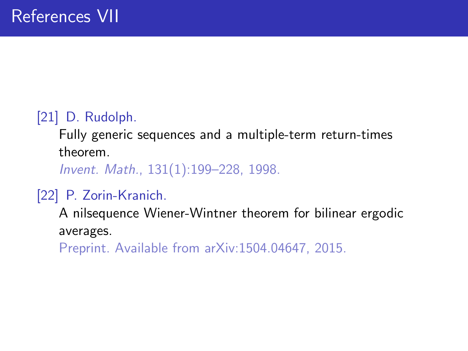# <span id="page-28-0"></span>[21] D. Rudolph.

Fully generic sequences and a multiple-term return-times theorem.

Invent. Math., 131(1):199–228, 1998.

## <span id="page-28-1"></span>[22] P. Zorin-Kranich.

A nilsequence Wiener-Wintner theorem for bilinear ergodic averages.

Preprint. Available from arXiv:1504.04647, 2015.